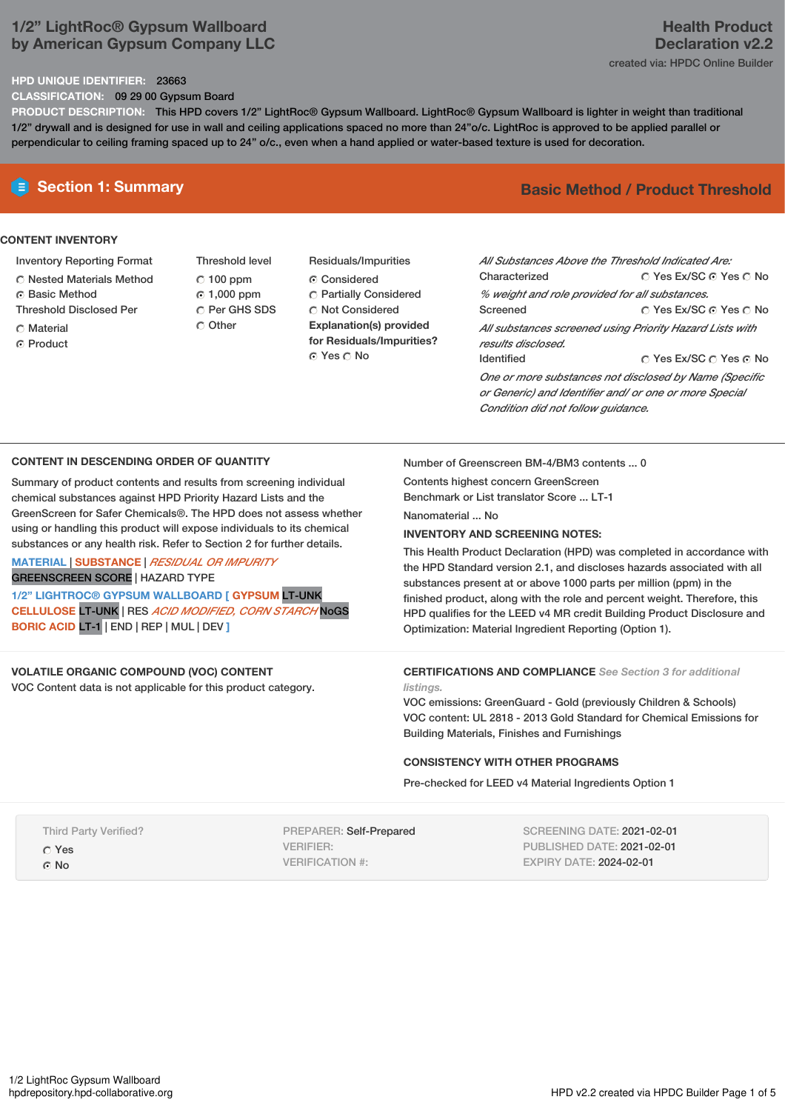## **1/2" LightRoc® Gypsum Wallboard by American Gypsum Company LLC**

### **HPD UNIQUE IDENTIFIER:** 23663

**CLASSIFICATION:** 09 29 00 Gypsum Board

**PRODUCT DESCRIPTION:** This HPD covers 1/2" LightRoc® Gypsum Wallboard. LightRoc® Gypsum Wallboard is lighter in weight than traditional 1/2" drywall and is designed for use in wall and ceiling applications spaced no more than 24"o/c. LightRoc is approved to be applied parallel or perpendicular to ceiling framing spaced up to 24" o/c., even when a hand applied or water-based texture is used for decoration.

### **CONTENT INVENTORY**

- Inventory Reporting Format
- Nested Materials Method
- Basic Method
- Threshold Disclosed Per
- Material
- **G** Product
- Threshold level  $C$  100 ppm 1,000 ppm C Per GHS SDS C Other
- Residuals/Impurities Considered Partially Considered Not Considered **Explanation(s) provided for Residuals/Impurities?** ⊙ Yes ∩ No

# **E** Section 1: Summary **Basic Method /** Product Threshold

| Characterized                                  | All Substances Above the Threshold Indicated Are:<br>∩ Yes Ex/SC ∩ Yes ∩ No                                      |
|------------------------------------------------|------------------------------------------------------------------------------------------------------------------|
| % weight and role provided for all substances. |                                                                                                                  |
| Screened                                       | ∩ Yes Ex/SC ∩ Yes ∩ No                                                                                           |
| results disclosed.                             | All substances screened using Priority Hazard Lists with                                                         |
| <b>Identified</b>                              | ○ Yes Ex/SC ○ Yes ⊙ No                                                                                           |
|                                                | One or more substances not disclosed by Name (Specific<br>or Generic) and Identifier and/ or one or more Special |

### **CONTENT IN DESCENDING ORDER OF QUANTITY**

Summary of product contents and results from screening individual chemical substances against HPD Priority Hazard Lists and the GreenScreen for Safer Chemicals®. The HPD does not assess whether using or handling this product will expose individuals to its chemical substances or any health risk. Refer to Section 2 for further details. **MATERIAL** | **SUBSTANCE** | *RESIDUAL OR IMPURITY*

GREENSCREEN SCORE | HAZARD TYPE

**1/2" LIGHTROC® GYPSUM WALLBOARD [ GYPSUM** LT-UNK **CELLULOSE** LT-UNK | RES *ACID MODIFIED, CORN STARCH* NoGS **BORIC ACID** LT-1 | END | REP | MUL | DEV **]**

### **VOLATILE ORGANIC COMPOUND (VOC) CONTENT**

VOC Content data is not applicable for this product category.

Number of Greenscreen BM-4/BM3 contents ... 0

*Condition did not follow guidance.*

Contents highest concern GreenScreen Benchmark or List translator Score ... LT-1

Nanomaterial ... No

### **INVENTORY AND SCREENING NOTES:**

This Health Product Declaration (HPD) was completed in accordance with the HPD Standard version 2.1, and discloses hazards associated with all substances present at or above 1000 parts per million (ppm) in the finished product, along with the role and percent weight. Therefore, this HPD qualifies for the LEED v4 MR credit Building Product Disclosure and Optimization: Material Ingredient Reporting (Option 1).

### **CERTIFICATIONS AND COMPLIANCE** *See Section 3 for additional listings.*

VOC emissions: GreenGuard - Gold (previously Children & Schools) VOC content: UL 2818 - 2013 Gold Standard for Chemical Emissions for Building Materials, Finishes and Furnishings

### **CONSISTENCY WITH OTHER PROGRAMS**

Pre-checked for LEED v4 Material Ingredients Option 1

Third Party Verified?

- Yes
- No

PREPARER: Self-Prepared VERIFIER: VERIFICATION #:

SCREENING DATE: 2021-02-01 PUBLISHED DATE: 2021-02-01 EXPIRY DATE: 2024-02-01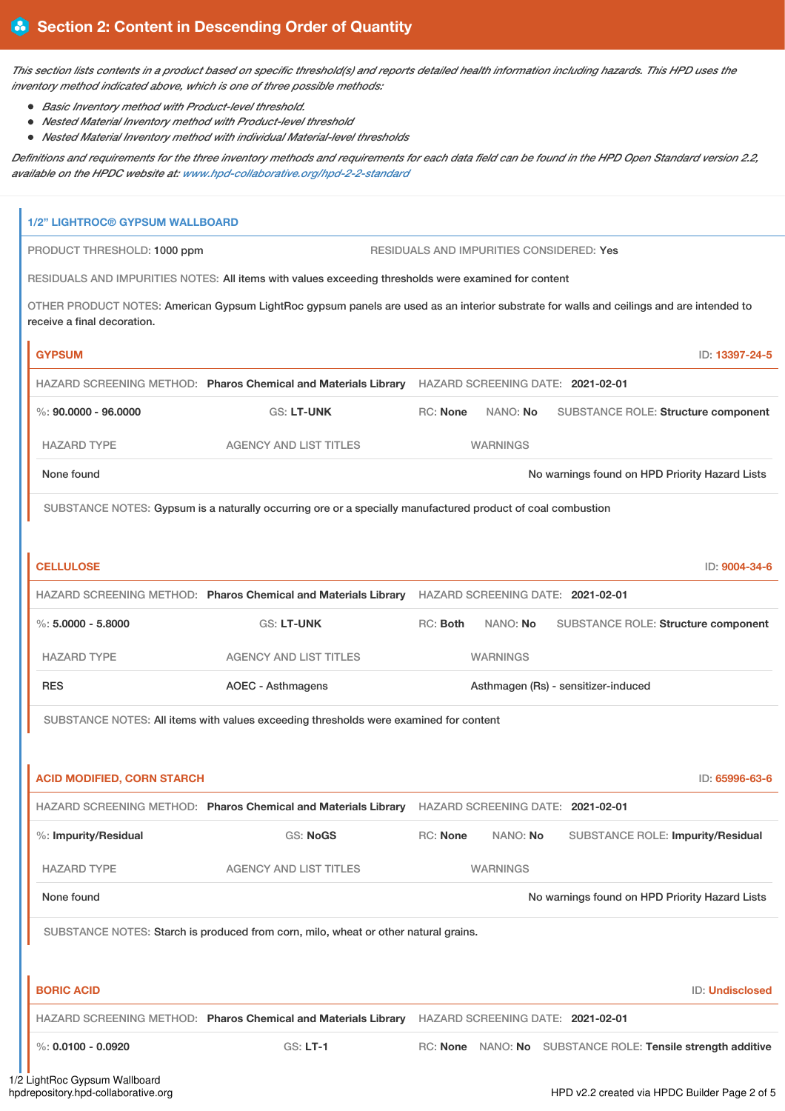This section lists contents in a product based on specific threshold(s) and reports detailed health information including hazards. This HPD uses the *inventory method indicated above, which is one of three possible methods:*

- *Basic Inventory method with Product-level threshold.*
- *Nested Material Inventory method with Product-level threshold*
- *Nested Material Inventory method with individual Material-level thresholds*

Definitions and requirements for the three inventory methods and requirements for each data field can be found in the HPD Open Standard version 2.2, *available on the HPDC website at: [www.hpd-collaborative.org/hpd-2-2-standard](https://www.hpd-collaborative.org/hpd-2-2-standard)*

| <b>1/2" LIGHTROC® GYPSUM WALLBOARD</b>                                                                                                                                  |                               |                 |          |                                                             |  |  |
|-------------------------------------------------------------------------------------------------------------------------------------------------------------------------|-------------------------------|-----------------|----------|-------------------------------------------------------------|--|--|
| PRODUCT THRESHOLD: 1000 ppm<br>RESIDUALS AND IMPURITIES CONSIDERED: Yes                                                                                                 |                               |                 |          |                                                             |  |  |
| RESIDUALS AND IMPURITIES NOTES: All items with values exceeding thresholds were examined for content                                                                    |                               |                 |          |                                                             |  |  |
| OTHER PRODUCT NOTES: American Gypsum LightRoc gypsum panels are used as an interior substrate for walls and ceilings and are intended to<br>receive a final decoration. |                               |                 |          |                                                             |  |  |
| <b>GYPSUM</b>                                                                                                                                                           |                               |                 |          | ID: 13397-24-5                                              |  |  |
| HAZARD SCREENING METHOD: Pharos Chemical and Materials Library HAZARD SCREENING DATE: 2021-02-01                                                                        |                               |                 |          |                                                             |  |  |
| $\%$ : 90.0000 - 96.0000                                                                                                                                                | GS: LT-UNK                    | RC: None        | NANO: No | SUBSTANCE ROLE: Structure component                         |  |  |
| <b>HAZARD TYPE</b>                                                                                                                                                      | <b>AGENCY AND LIST TITLES</b> | <b>WARNINGS</b> |          |                                                             |  |  |
| None found                                                                                                                                                              |                               |                 |          | No warnings found on HPD Priority Hazard Lists              |  |  |
| SUBSTANCE NOTES: Gypsum is a naturally occurring ore or a specially manufactured product of coal combustion                                                             |                               |                 |          |                                                             |  |  |
|                                                                                                                                                                         |                               |                 |          |                                                             |  |  |
| <b>CELLULOSE</b>                                                                                                                                                        |                               |                 |          | ID: 9004-34-6                                               |  |  |
| HAZARD SCREENING METHOD: Pharos Chemical and Materials Library HAZARD SCREENING DATE: 2021-02-01                                                                        |                               |                 |          |                                                             |  |  |
| $\%$ : 5,0000 - 5,8000                                                                                                                                                  | GS: LT-UNK                    | RC: Both        | NANO: No | SUBSTANCE ROLE: Structure component                         |  |  |
| <b>HAZARD TYPE</b>                                                                                                                                                      | <b>AGENCY AND LIST TITLES</b> | <b>WARNINGS</b> |          |                                                             |  |  |
| <b>RES</b>                                                                                                                                                              | <b>AOEC - Asthmagens</b>      |                 |          | Asthmagen (Rs) - sensitizer-induced                         |  |  |
| SUBSTANCE NOTES: All items with values exceeding thresholds were examined for content                                                                                   |                               |                 |          |                                                             |  |  |
|                                                                                                                                                                         |                               |                 |          |                                                             |  |  |
| <b>ACID MODIFIED, CORN STARCH</b>                                                                                                                                       |                               |                 |          | ID: 65996-63-6                                              |  |  |
| HAZARD SCREENING METHOD: Pharos Chemical and Materials Library HAZARD SCREENING DATE: 2021-02-01                                                                        |                               |                 |          |                                                             |  |  |
| %: Impurity/Residual                                                                                                                                                    | <b>GS: NoGS</b>               | RC: None        | NANO: No | SUBSTANCE ROLE: Impurity/Residual                           |  |  |
| <b>HAZARD TYPE</b>                                                                                                                                                      | <b>AGENCY AND LIST TITLES</b> | <b>WARNINGS</b> |          |                                                             |  |  |
| None found                                                                                                                                                              |                               |                 |          | No warnings found on HPD Priority Hazard Lists              |  |  |
| SUBSTANCE NOTES: Starch is produced from corn, milo, wheat or other natural grains.                                                                                     |                               |                 |          |                                                             |  |  |
|                                                                                                                                                                         |                               |                 |          |                                                             |  |  |
| <b>BORIC ACID</b>                                                                                                                                                       |                               |                 |          | ID: Undisclosed                                             |  |  |
| HAZARD SCREENING METHOD: Pharos Chemical and Materials Library HAZARD SCREENING DATE: 2021-02-01                                                                        |                               |                 |          |                                                             |  |  |
| %: $0.0100 - 0.0920$                                                                                                                                                    | GS: LT-1                      |                 |          | RC: None NANO: No SUBSTANCE ROLE: Tensile strength additive |  |  |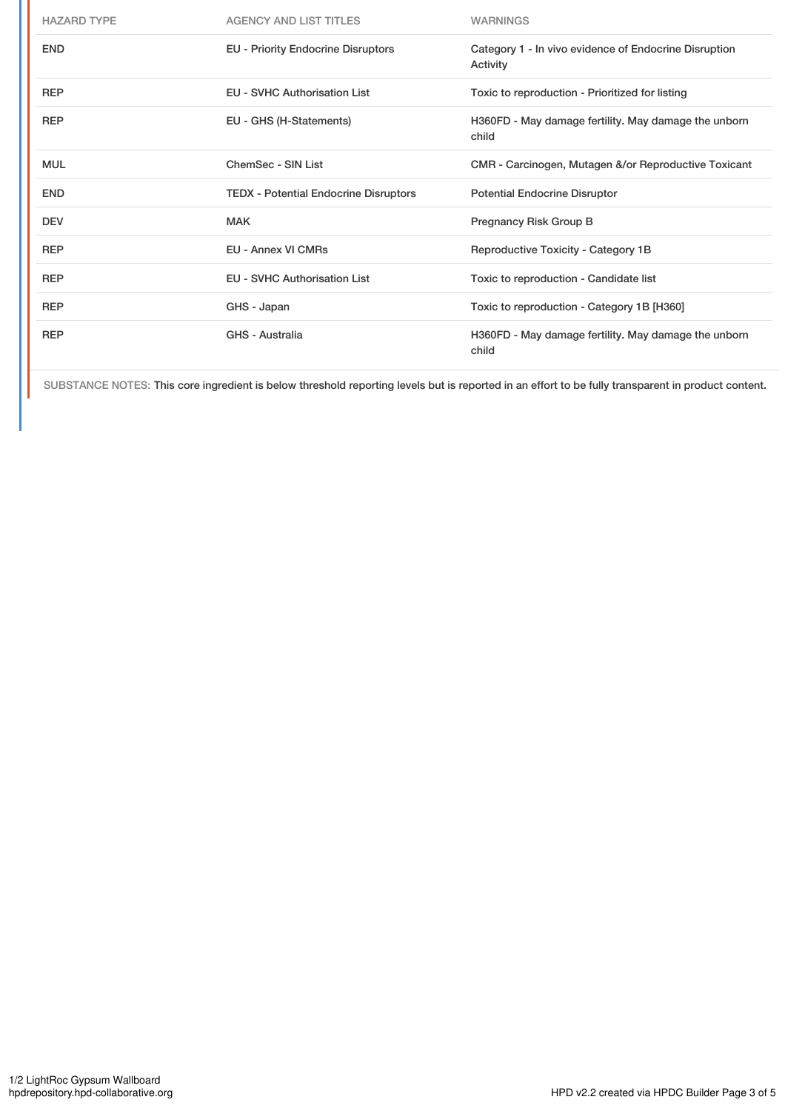| <b>HAZARD TYPE</b> | <b>AGENCY AND LIST TITLES</b>                | <b>WARNINGS</b>                                                   |
|--------------------|----------------------------------------------|-------------------------------------------------------------------|
| <b>END</b>         | <b>EU - Priority Endocrine Disruptors</b>    | Category 1 - In vivo evidence of Endocrine Disruption<br>Activity |
| <b>REP</b>         | <b>EU - SVHC Authorisation List</b>          | Toxic to reproduction - Prioritized for listing                   |
| <b>REP</b>         | EU - GHS (H-Statements)                      | H360FD - May damage fertility. May damage the unborn<br>child     |
| <b>MUL</b>         | ChemSec - SIN List                           | CMR - Carcinogen, Mutagen &/or Reproductive Toxicant              |
| <b>END</b>         | <b>TEDX</b> - Potential Endocrine Disruptors | <b>Potential Endocrine Disruptor</b>                              |
| <b>DEV</b>         | <b>MAK</b>                                   | Pregnancy Risk Group B                                            |
| <b>REP</b>         | <b>EU - Annex VI CMRs</b>                    | Reproductive Toxicity - Category 1B                               |
| <b>REP</b>         | <b>EU - SVHC Authorisation List</b>          | Toxic to reproduction - Candidate list                            |
| <b>REP</b>         | GHS - Japan                                  | Toxic to reproduction - Category 1B [H360]                        |
| <b>REP</b>         | GHS - Australia                              | H360FD - May damage fertility. May damage the unborn<br>child     |

SUBSTANCE NOTES: This core ingredient is below threshold reporting levels but is reported in an effort to be fully transparent in product content.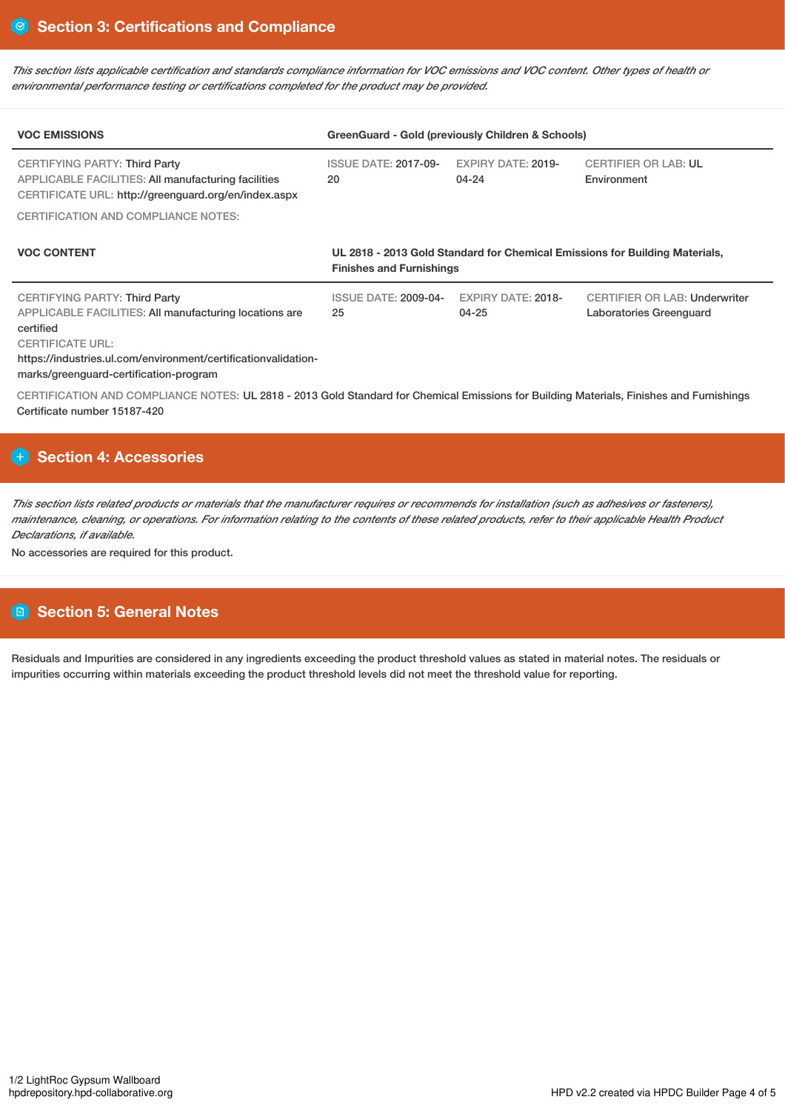This section lists applicable certification and standards compliance information for VOC emissions and VOC content. Other types of health or *environmental performance testing or certifications completed for the product may be provided.*

| <b>VOC EMISSIONS</b>                                                                                                                                                                                                                        | GreenGuard - Gold (previously Children & Schools)                                                              |                                        |                                                                 |  |
|---------------------------------------------------------------------------------------------------------------------------------------------------------------------------------------------------------------------------------------------|----------------------------------------------------------------------------------------------------------------|----------------------------------------|-----------------------------------------------------------------|--|
| CERTIFYING PARTY: Third Party<br><b>APPLICABLE FACILITIES: All manufacturing facilities</b><br>CERTIFICATE URL: http://greenguard.org/en/index.aspx                                                                                         | <b>ISSUE DATE: 2017-09-</b><br>20                                                                              | <b>EXPIRY DATE: 2019-</b><br>04-24     | <b>CERTIFIER OR LAB: UL</b><br>Environment                      |  |
| <b>CERTIFICATION AND COMPLIANCE NOTES:</b>                                                                                                                                                                                                  |                                                                                                                |                                        |                                                                 |  |
| <b>VOC CONTENT</b>                                                                                                                                                                                                                          | UL 2818 - 2013 Gold Standard for Chemical Emissions for Building Materials,<br><b>Finishes and Furnishings</b> |                                        |                                                                 |  |
| CERTIFYING PARTY: Third Party<br>APPLICABLE FACILITIES: All manufacturing locations are<br>certified<br><b>CERTIFICATE URL:</b><br>https://industries.ul.com/environment/certificationvalidation-<br>marks/greenguard-certification-program | <b>ISSUE DATE: 2009-04-</b><br>25                                                                              | <b>EXPIRY DATE: 2018-</b><br>$04 - 25$ | <b>CERTIFIER OR LAB: Underwriter</b><br>Laboratories Greenquard |  |

CERTIFICATION AND COMPLIANCE NOTES: UL 2818 - 2013 Gold Standard for Chemical Emissions for Building Materials, Finishes and Furnishings Certificate number 15187-420

# **Section 4: Accessories**

This section lists related products or materials that the manufacturer requires or recommends for installation (such as adhesives or fasteners). maintenance, cleaning, or operations. For information relating to the contents of these related products, refer to their applicable Health Product *Declarations, if available.*

No accessories are required for this product.

# **Section 5: General Notes**

Residuals and Impurities are considered in any ingredients exceeding the product threshold values as stated in material notes. The residuals or impurities occurring within materials exceeding the product threshold levels did not meet the threshold value for reporting.